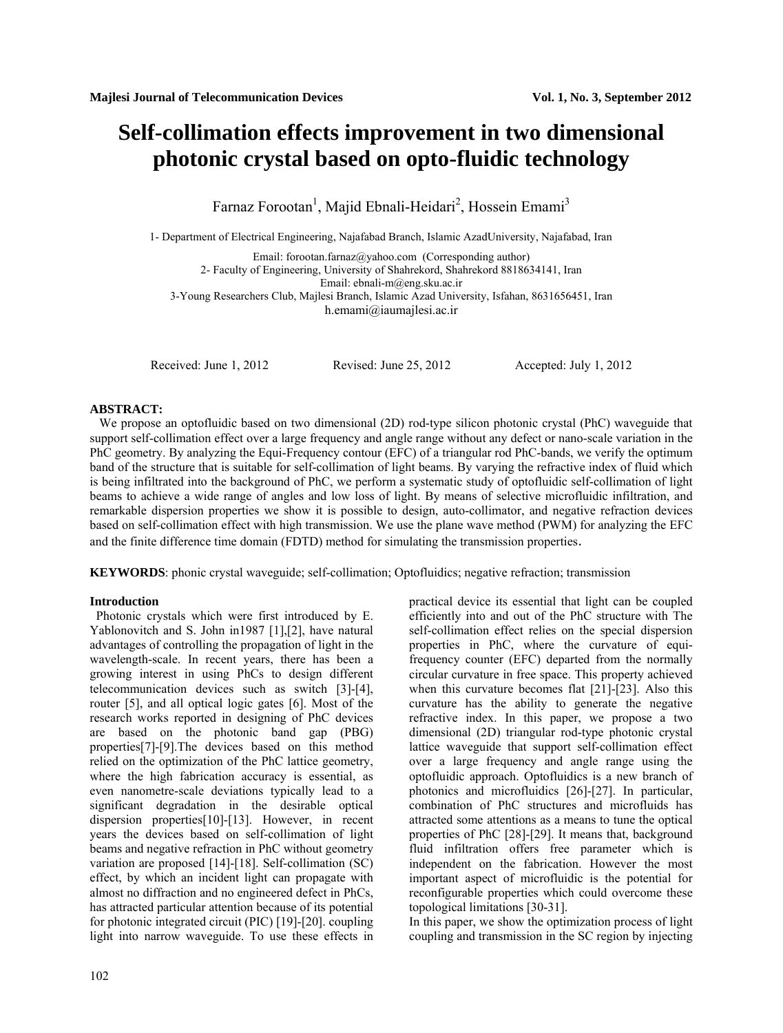# **Self-collimation effects improvement in two dimensional photonic crystal based on opto-fluidic technology**

Farnaz Forootan<sup>1</sup>, Majid Ebnali-Heidari<sup>2</sup>, Hossein Emami<sup>3</sup>

1- Department of Electrical Engineering, Najafabad Branch, Islamic AzadUniversity, Najafabad, Iran

Email: forootan.farnaz@yahoo.com (Corresponding author)

2- Faculty of Engineering, University of Shahrekord, Shahrekord 8818634141, Iran

Email: [ebnali-m@eng.sku.ac.ir](mailto:ebnali-m@eng.sku.ac.ir)

3-Young Researchers Club, Majlesi Branch, Islamic Azad University, Isfahan, 8631656451, Iran

[h.emami@iaumajlesi.ac.ir](mailto:h.emami@ieee.org)

Received: June 1, 2012 Revised: June 25, 2012 Accepted: July 1, 2012

# **ABSTRACT:**

We propose an optofluidic based on two dimensional (2D) rod-type silicon photonic crystal (PhC) waveguide that support self-collimation effect over a large frequency and angle range without any defect or nano-scale variation in the PhC geometry. By analyzing the Equi-Frequency contour (EFC) of a triangular rod PhC-bands, we verify the optimum band of the structure that is suitable for self-collimation of light beams. By varying the refractive index of fluid which is being infiltrated into the background of PhC, we perform a systematic study of optofluidic self-collimation of light beams to achieve a wide range of angles and low loss of light. By means of selective microfluidic infiltration, and remarkable dispersion properties we show it is possible to design, auto-collimator, and negative refraction devices based on self-collimation effect with high transmission. We use the plane wave method (PWM) for analyzing the EFC and the finite difference time domain (FDTD) method for simulating the transmission properties.

**KEYWORDS**: phonic crystal waveguide; self-collimation; Optofluidics; negative refraction; transmission

# **Introduction**

 Photonic crystals which were first introduced by E. Yablonovitch and S. John in1987 [1],[2], have natural advantages of controlling the propagation of light in the wavelength-scale. In recent years, there has been a growing interest in using PhCs to design different telecommunication devices such as switch [3]-[4], router [5], and all optical logic gates [6]. Most of the research works reported in designing of PhC devices are based on the photonic band gap (PBG) properties[7]-[9].The devices based on this method relied on the optimization of the PhC lattice geometry, where the high fabrication accuracy is essential, as even nanometre-scale deviations typically lead to a significant degradation in the desirable optical dispersion properties[10]-[13]. However, in recent years the devices based on self-collimation of light beams and negative refraction in PhC without geometry variation are proposed [14]-[18]. Self-collimation (SC) effect, by which an incident light can propagate with almost no diffraction and no engineered defect in PhCs, has attracted particular attention because of its potential for photonic integrated circuit (PIC) [19]-[20]. coupling light into narrow waveguide. To use these effects in practical device its essential that light can be coupled efficiently into and out of the PhC structure with The self-collimation effect relies on the special dispersion properties in PhC, where the curvature of equifrequency counter (EFC) departed from the normally circular curvature in free space. This property achieved when this curvature becomes flat [21]-[23]. Also this curvature has the ability to generate the negative refractive index. In this paper, we propose a two dimensional (2D) triangular rod-type photonic crystal lattice waveguide that support self-collimation effect over a large frequency and angle range using the optofluidic approach. Optofluidics is a new branch of photonics and microfluidics [26]-[27]. In particular, combination of PhC structures and microfluids has attracted some attentions as a means to tune the optical properties of PhC [28]-[29]. It means that, background fluid infiltration offers free parameter which is independent on the fabrication. However the most important aspect of microfluidic is the potential for reconfigurable properties which could overcome these topological limitations [30-31].

In this paper, we show the optimization process of light coupling and transmission in the SC region by injecting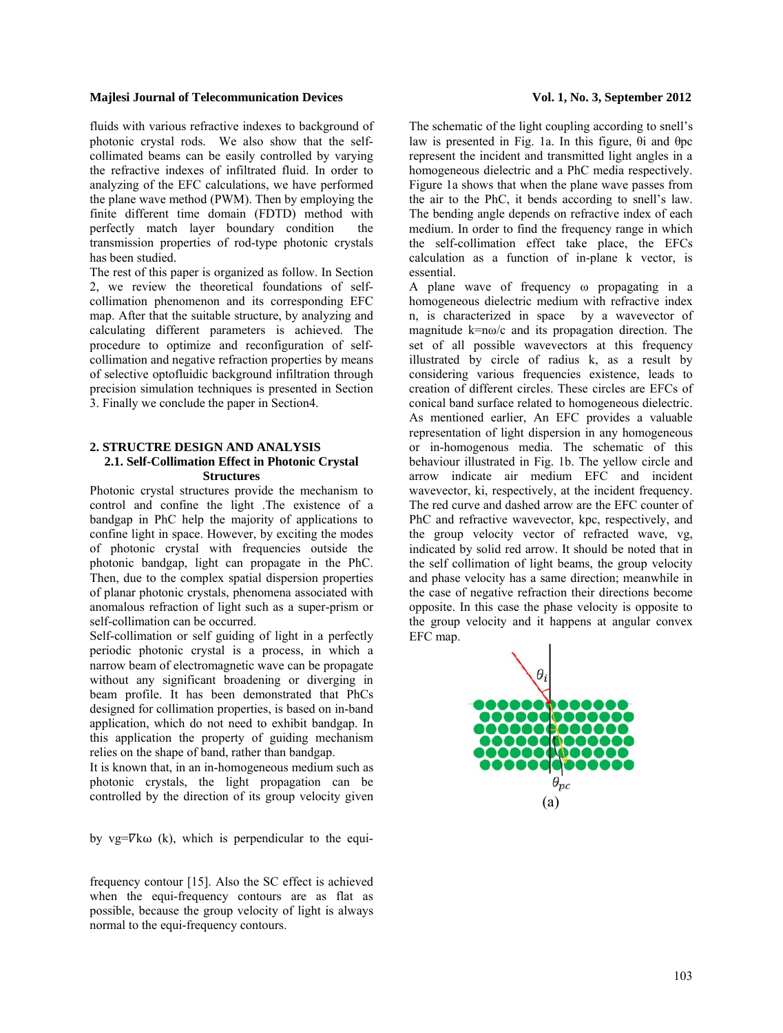fluids with various refractive indexes to background of photonic crystal rods. We also show that the selfcollimated beams can be easily controlled by varying the refractive indexes of infiltrated fluid. In order to analyzing of the EFC calculations, we have performed the plane wave method (PWM). Then by employing the finite different time domain (FDTD) method with perfectly match layer boundary condition the transmission properties of rod-type photonic crystals has been studied.

The rest of this paper is organized as follow. In Section 2, we review the theoretical foundations of selfcollimation phenomenon and its corresponding EFC map. After that the suitable structure, by analyzing and calculating different parameters is achieved. The procedure to optimize and reconfiguration of selfcollimation and negative refraction properties by means of selective optofluidic background infiltration through precision simulation techniques is presented in Section 3. Finally we conclude the paper in Section4.

# **2. STRUCTRE DESIGN AND ANALYSIS 2.1. Self-Collimation Effect in Photonic Crystal Structures**

Photonic crystal structures provide the mechanism to control and confine the light .The existence of a bandgap in PhC help the majority of applications to confine light in space. However, by exciting the modes of photonic crystal with frequencies outside the photonic bandgap, light can propagate in the PhC. Then, due to the complex spatial dispersion properties of planar photonic crystals, phenomena associated with anomalous refraction of light such as a super-prism or self-collimation can be occurred.

Self-collimation or self guiding of light in a perfectly periodic photonic crystal is a process, in which a narrow beam of electromagnetic wave can be propagate without any significant broadening or diverging in beam profile. It has been demonstrated that PhCs designed for collimation properties, is based on in-band application, which do not need to exhibit bandgap. In this application the property of guiding mechanism relies on the shape of band, rather than bandgap.

It is known that, in an in-homogeneous medium such as photonic crystals, the light propagation can be controlled by the direction of its group velocity given

by vg= $\nabla$ kω (k), which is perpendicular to the equi-

frequency contour [15]. Also the SC effect is achieved when the equi-frequency contours are as flat as possible, because the group velocity of light is always normal to the equi-frequency contours.

The schematic of the light coupling according to snell's law is presented in Fig. 1a. In this figure, θi and θpc represent the incident and transmitted light angles in a homogeneous dielectric and a PhC media respectively. Figure 1a shows that when the plane wave passes from the air to the PhC, it bends according to snell's law. The bending angle depends on refractive index of each medium. In order to find the frequency range in which the self-collimation effect take place, the EFCs calculation as a function of in-plane k vector, is essential.

A plane wave of frequency ω propagating in a homogeneous dielectric medium with refractive index n, is characterized in space by a wavevector of magnitude  $k=m\omega/c$  and its propagation direction. The set of all possible wavevectors at this frequency illustrated by circle of radius k, as a result by considering various frequencies existence, leads to creation of different circles. These circles are EFCs of conical band surface related to homogeneous dielectric. As mentioned earlier, An EFC provides a valuable representation of light dispersion in any homogeneous or in-homogenous media. The schematic of this behaviour illustrated in Fig. 1b. The yellow circle and arrow indicate air medium EFC and incident wavevector, ki, respectively, at the incident frequency. The red curve and dashed arrow are the EFC counter of PhC and refractive wavevector, kpc, respectively, and the group velocity vector of refracted wave, vg, indicated by solid red arrow. It should be noted that in the self collimation of light beams, the group velocity and phase velocity has a same direction; meanwhile in the case of negative refraction their directions become opposite. In this case the phase velocity is opposite to the group velocity and it happens at angular convex EFC map.

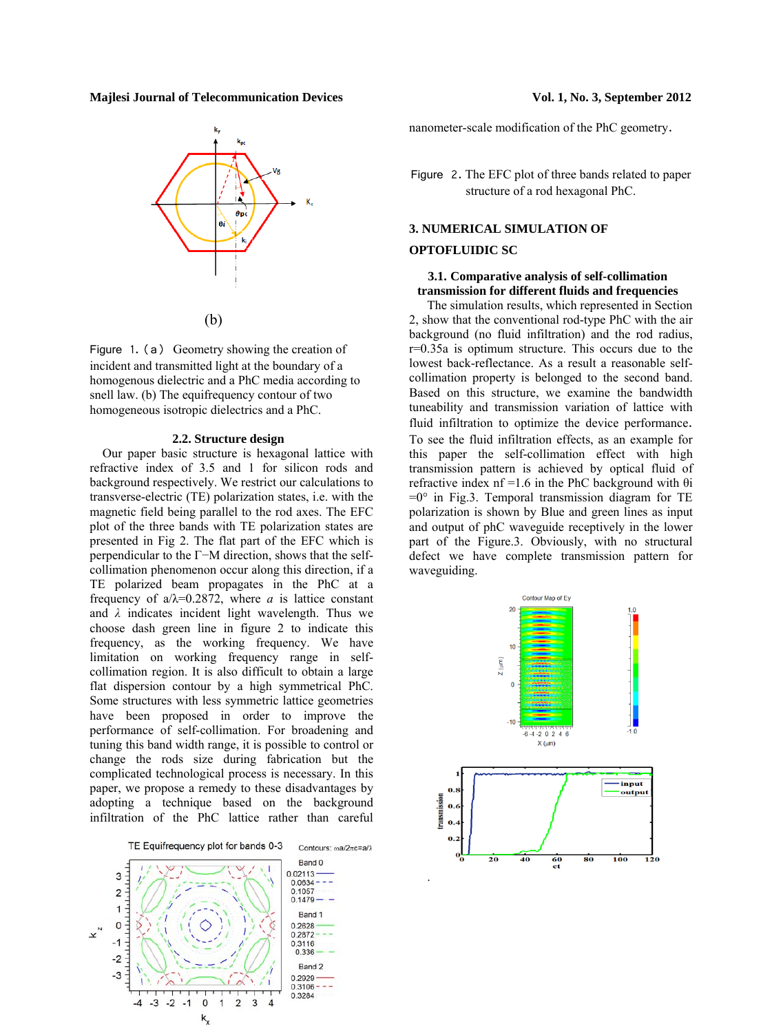

Figure 1. (a) Geometry showing the creation of incident and transmitted light at the boundary of a homogenous dielectric and a PhC media according to snell law. (b) The equifrequency contour of two homogeneous isotropic dielectrics and a PhC.

# **2.2. Structure design**

 Our paper basic structure is hexagonal lattice with refractive index of 3.5 and 1 for silicon rods and background respectively. We restrict our calculations to transverse-electric (TE) polarization states, i.e. with the magnetic field being parallel to the rod axes. The EFC plot of the three bands with TE polarization states are presented in Fig 2. The flat part of the EFC which is perpendicular to the Γ−M direction, shows that the selfcollimation phenomenon occur along this direction, if a TE polarized beam propagates in the PhC at a frequency of  $a/\lambda$ =0.2872, where *a* is lattice constant and  $\lambda$  indicates incident light wavelength. Thus we choose dash green line in figure 2 to indicate this frequency, as the working frequency. We have limitation on working frequency range in selfcollimation region. It is also difficult to obtain a large flat dispersion contour by a high symmetrical PhC. Some structures with less symmetric lattice geometries have been proposed in order to improve the performance of self-collimation. For broadening and tuning this band width range, it is possible to control or change the rods size during fabrication but the complicated technological process is necessary. In this paper, we propose a remedy to these disadvantages by adopting a technique based on the background infiltration of the PhC lattice rather than careful

TE Equifrequency plot for bands 0-3 Contours: ωa/2πc=a/λ Band 0  $0.02113 -$ 3 0.0634 0.1057  $\overline{2}$  $\mathbf{1}$ Band 1  $\mathbf 0$ ð 0.2628  $K_{\nu}$ 0.2872  $-1$ 0.3116 0.336  $-2$ Band 2  $-3$  $0.2929$ 0.3106 0.3284  $-2$  $\overline{0}$  $\overline{2}$  $\overline{\mathbf{3}}$  $-3$  $-1$  $k_{x}$ 

nanometer-scale modification of the PhC geometry.

Figure 2. The EFC plot of three bands related to paper structure of a rod hexagonal PhC.

# **3. NUMERICAL SIMULATION OF**

### **OPTOFLUIDIC SC**

# **3.1. Comparative analysis of self-collimation transmission for different fluids and frequencies**

The simulation results, which represented in Section 2, show that the conventional rod-type PhC with the air background (no fluid infiltration) and the rod radius, r=0.35a is optimum structure. This occurs due to the lowest back-reflectance. As a result a reasonable selfcollimation property is belonged to the second band. Based on this structure, we examine the bandwidth tuneability and transmission variation of lattice with fluid infiltration to optimize the device performance. To see the fluid infiltration effects, as an example for this paper the self-collimation effect with high transmission pattern is achieved by optical fluid of refractive index  $nf = 1.6$  in the PhC background with  $\theta$ i  $=0$ ° in Fig.3. Temporal transmission diagram for TE polarization is shown by Blue and green lines as input and output of phC waveguide receptively in the lower part of the Figure.3. Obviously, with no structural defect we have complete transmission pattern for waveguiding.

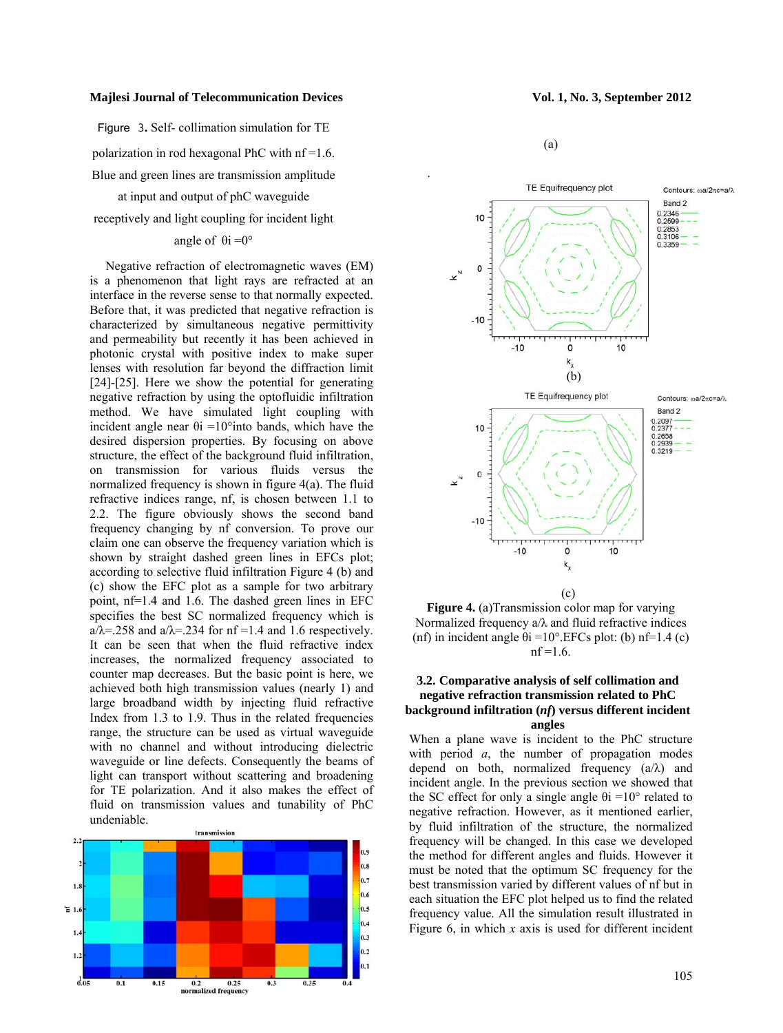Figure 3**.** Self- collimation simulation for TE

polarization in rod hexagonal PhC with nf =1.6. Blue and green lines are transmission amplitude

at input and output of phC waveguide

receptively and light coupling for incident light

# angle of  $\theta$ i =0°

 Negative refraction of electromagnetic waves (EM) is a phenomenon that light rays are refracted at an interface in the reverse sense to that normally expected. Before that, it was predicted that negative refraction is characterized by simultaneous negative permittivity and permeability but recently it has been achieved in photonic crystal with positive index to make super lenses with resolution far beyond the diffraction limit [24]-[25]. Here we show the potential for generating negative refraction by using the optofluidic infiltration method. We have simulated light coupling with incident angle near  $\theta$ i =10°into bands, which have the desired dispersion properties. By focusing on above structure, the effect of the background fluid infiltration, on transmission for various fluids versus the normalized frequency is shown in figure 4(a). The fluid refractive indices range, nf, is chosen between 1.1 to 2.2. The figure obviously shows the second band frequency changing by nf conversion. To prove our claim one can observe the frequency variation which is shown by straight dashed green lines in EFCs plot; according to selective fluid infiltration Figure 4 (b) and (c) show the EFC plot as a sample for two arbitrary point, nf=1.4 and 1.6. The dashed green lines in EFC specifies the best SC normalized frequency which is  $a/\lambda = 258$  and  $a/\lambda = 234$  for nf =1.4 and 1.6 respectively. It can be seen that when the fluid refractive index increases, the normalized frequency associated to counter map decreases. But the basic point is here, we achieved both high transmission values (nearly 1) and large broadband width by injecting fluid refractive Index from 1.3 to 1.9. Thus in the related frequencies range, the structure can be used as virtual waveguide with no channel and without introducing dielectric waveguide or line defects. Consequently the beams of light can transport without scattering and broadening for TE polarization. And it also makes the effect of fluid on transmission values and tunability of PhC undeniable.



(a)



**Figure 4.** (a)Transmission color map for varying Normalized frequency  $a/\lambda$  and fluid refractive indices (nf) in incident angle  $\theta$ i =10°. EFCs plot: (b) nf=1.4 (c)  $nf = 1.6$ .

# **3.2. Comparative analysis of self collimation and negative refraction transmission related to PhC background infiltration (***nf***) versus different incident angles**

When a plane wave is incident to the PhC structure with period *a*, the number of propagation modes depend on both, normalized frequency  $(a/\lambda)$  and incident angle. In the previous section we showed that the SC effect for only a single angle  $\theta$ i =10° related to negative refraction. However, as it mentioned earlier, by fluid infiltration of the structure, the normalized frequency will be changed. In this case we developed the method for different angles and fluids. However it must be noted that the optimum SC frequency for the best transmission varied by different values of nf but in each situation the EFC plot helped us to find the related frequency value. All the simulation result illustrated in Figure 6, in which *x* axis is used for different incident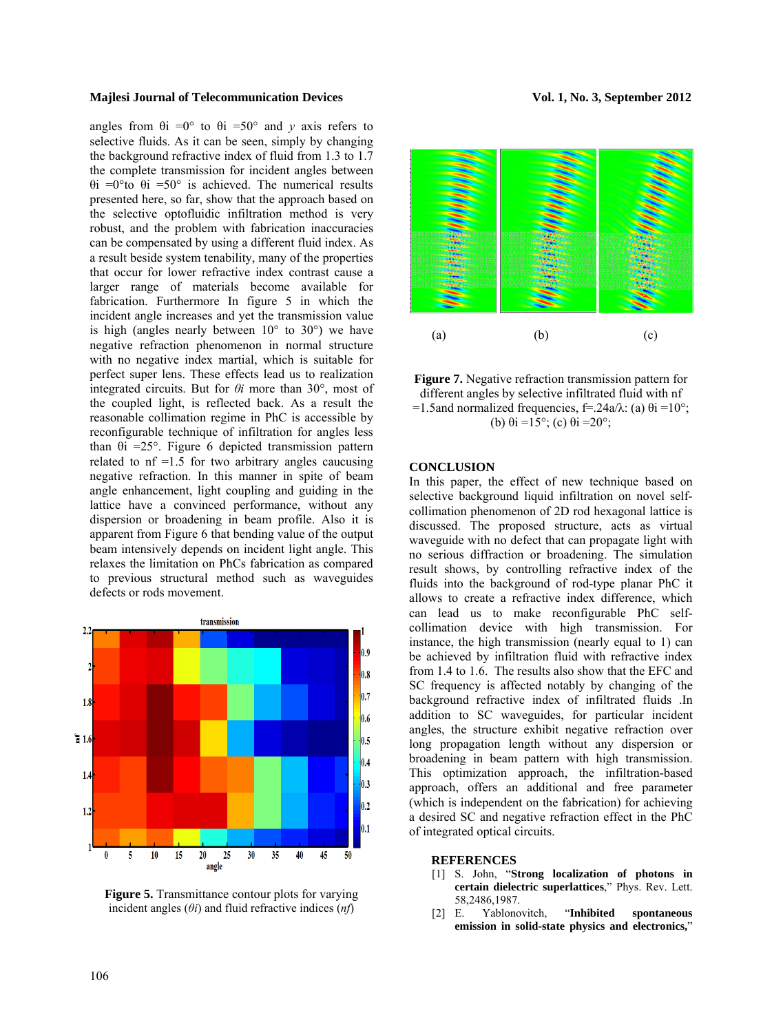angles from  $\theta$ i =0° to  $\theta$ i =50° and *y* axis refers to selective fluids. As it can be seen, simply by changing the background refractive index of fluid from 1.3 to 1.7 the complete transmission for incident angles between θi =0°to θi =50° is achieved. The numerical results presented here, so far, show that the approach based on the selective optofluidic infiltration method is very robust, and the problem with fabrication inaccuracies can be compensated by using a different fluid index. As a result beside system tenability, many of the properties that occur for lower refractive index contrast cause a larger range of materials become available for fabrication. Furthermore In figure 5 in which the incident angle increases and yet the transmission value is high (angles nearly between  $10^{\circ}$  to  $30^{\circ}$ ) we have negative refraction phenomenon in normal structure with no negative index martial, which is suitable for perfect super lens. These effects lead us to realization integrated circuits. But for *θi* more than 30°, most of the coupled light, is reflected back. As a result the reasonable collimation regime in PhC is accessible by reconfigurable technique of infiltration for angles less than  $\theta i = 25^\circ$ . Figure 6 depicted transmission pattern related to  $nf = 1.5$  for two arbitrary angles caucusing negative refraction. In this manner in spite of beam angle enhancement, light coupling and guiding in the lattice have a convinced performance, without any dispersion or broadening in beam profile. Also it is apparent from Figure 6 that bending value of the output beam intensively depends on incident light angle. This relaxes the limitation on PhCs fabrication as compared to previous structural method such as waveguides defects or rods movement.



**Figure 5.** Transmittance contour plots for varying incident angles  $(\theta i)$  and fluid refractive indices  $(nf)$ 





# **CONCLUSION**

In this paper, the effect of new technique based on selective background liquid infiltration on novel selfcollimation phenomenon of 2D rod hexagonal lattice is discussed. The proposed structure, acts as virtual waveguide with no defect that can propagate light with no serious diffraction or broadening. The simulation result shows, by controlling refractive index of the fluids into the background of rod-type planar PhC it allows to create a refractive index difference, which can lead us to make reconfigurable PhC selfcollimation device with high transmission. For instance, the high transmission (nearly equal to 1) can be achieved by infiltration fluid with refractive index from 1.4 to 1.6. The results also show that the EFC and SC frequency is affected notably by changing of the background refractive index of infiltrated fluids .In addition to SC waveguides, for particular incident angles, the structure exhibit negative refraction over long propagation length without any dispersion or broadening in beam pattern with high transmission. This optimization approach, the infiltration-based approach, offers an additional and free parameter (which is independent on the fabrication) for achieving a desired SC and negative refraction effect in the PhC of integrated optical circuits.

### **REFERENCES**

- [1] S. John, "**Strong localization of photons in certain dielectric superlattices**," Phys. Rev. Lett. 58,2486,1987.
- [2] E. Yablonovitch, "**Inhibited spontaneous emission in solid-state physics and electronics,**"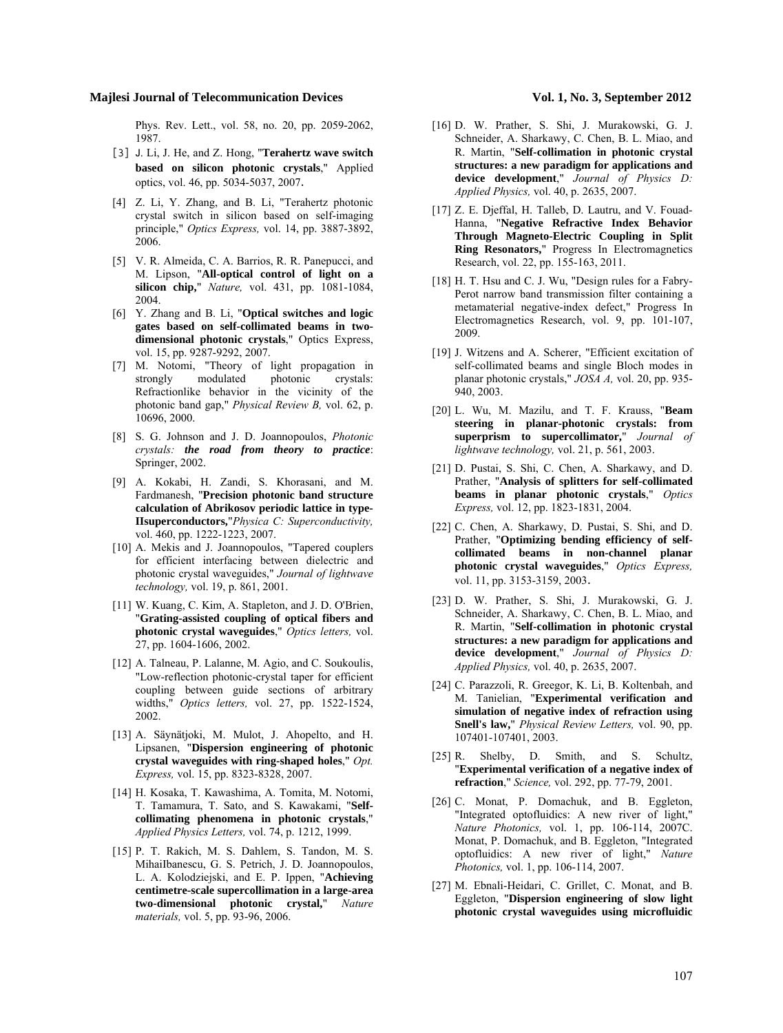Phys. Rev. Lett., vol. 58, no. 20, pp. 2059-2062, 1987.

- [3] J. Li, J. He, and Z. Hong, "**Terahertz wave switch based on silicon photonic crystals**," Applied optics, vol. 46, pp. 5034-5037, 2007.
- [4] Z. Li, Y. Zhang, and B. Li, "Terahertz photonic crystal switch in silicon based on self-imaging principle," *Optics Express,* vol. 14, pp. 3887-3892, 2006.
- [5] V. R. Almeida, C. A. Barrios, R. R. Panepucci, and M. Lipson, "**All-optical control of light on a silicon chip,**" *Nature,* vol. 431, pp. 1081-1084, 2004.
- [6] Y. Zhang and B. Li, "**Optical switches and logic gates based on self-collimated beams in twodimensional photonic crystals**," Optics Express, vol. 15, pp. 9287-9292, 2007.
- [7] M. Notomi, "Theory of light propagation in strongly modulated photonic crystals: Refractionlike behavior in the vicinity of the photonic band gap," *Physical Review B,* vol. 62, p. 10696, 2000.
- [8] S. G. Johnson and J. D. Joannopoulos, *Photonic crystals: the road from theory to practice*: Springer, 2002.
- [9] A. Kokabi, H. Zandi, S. Khorasani, and M. Fardmanesh, "**Precision photonic band structure calculation of Abrikosov periodic lattice in type-IIsuperconductors,**"*Physica C: Superconductivity,*  vol. 460, pp. 1222-1223, 2007.
- [10] A. Mekis and J. Joannopoulos, "Tapered couplers for efficient interfacing between dielectric and photonic crystal waveguides," *Journal of lightwave technology,* vol. 19, p. 861, 2001.
- [11] W. Kuang, C. Kim, A. Stapleton, and J. D. O'Brien, "**Grating-assisted coupling of optical fibers and photonic crystal waveguides**," *Optics letters,* vol. 27, pp. 1604-1606, 2002.
- [12] A. Talneau, P. Lalanne, M. Agio, and C. Soukoulis, "Low-reflection photonic-crystal taper for efficient coupling between guide sections of arbitrary widths," *Optics letters,* vol. 27, pp. 1522-1524, 2002.
- [13] A. Säynätjoki, M. Mulot, J. Ahopelto, and H. Lipsanen, "**Dispersion engineering of photonic crystal waveguides with ring-shaped holes**," *Opt. Express,* vol. 15, pp. 8323-8328, 2007.
- [14] H. Kosaka, T. Kawashima, A. Tomita, M. Notomi, T. Tamamura, T. Sato, and S. Kawakami, "**Selfcollimating phenomena in photonic crystals**," *Applied Physics Letters,* vol. 74, p. 1212, 1999.
- [15] P. T. Rakich, M. S. Dahlem, S. Tandon, M. S. MihaiIbanescu, G. S. Petrich, J. D. Joannopoulos, L. A. Kolodziejski, and E. P. Ippen, "**Achieving centimetre-scale supercollimation in a large-area two-dimensional photonic crystal,**" *Nature materials,* vol. 5, pp. 93-96, 2006.

- [16] D. W. Prather, S. Shi, J. Murakowski, G. J. Schneider, A. Sharkawy, C. Chen, B. L. Miao, and R. Martin, "**Self-collimation in photonic crystal structures: a new paradigm for applications and device development**," *Journal of Physics D: Applied Physics,* vol. 40, p. 2635, 2007.
- [17] Z. E. Djeffal, H. Talleb, D. Lautru, and V. Fouad-Hanna, "**Negative Refractive Index Behavior Through Magneto-Electric Coupling in Split Ring Resonators,**" Progress In Electromagnetics Research, vol. 22, pp. 155-163, 2011.
- [18] H. T. Hsu and C. J. Wu, "Design rules for a Fabry-Perot narrow band transmission filter containing a metamaterial negative-index defect," Progress In Electromagnetics Research, vol. 9, pp. 101-107, 2009.
- [19] J. Witzens and A. Scherer, "Efficient excitation of self-collimated beams and single Bloch modes in planar photonic crystals," *JOSA A,* vol. 20, pp. 935- 940, 2003.
- [20] L. Wu, M. Mazilu, and T. F. Krauss, "**Beam steering in planar-photonic crystals: from superprism to supercollimator,**" *Journal of lightwave technology,* vol. 21, p. 561, 2003.
- [21] D. Pustai, S. Shi, C. Chen, A. Sharkawy, and D. Prather, "**Analysis of splitters for self-collimated beams in planar photonic crystals**," *Optics Express,* vol. 12, pp. 1823-1831, 2004.
- [22] C. Chen, A. Sharkawy, D. Pustai, S. Shi, and D. Prather, "**Optimizing bending efficiency of selfcollimated beams in non-channel planar photonic crystal waveguides**," *Optics Express,*  vol. 11, pp. 3153-3159, 2003.
- [23] D. W. Prather, S. Shi, J. Murakowski, G. J. Schneider, A. Sharkawy, C. Chen, B. L. Miao, and R. Martin, "**Self-collimation in photonic crystal structures: a new paradigm for applications and device development**," *Journal of Physics D: Applied Physics,* vol. 40, p. 2635, 2007.
- [24] C. Parazzoli, R. Greegor, K. Li, B. Koltenbah, and M. Tanielian, "**Experimental verification and simulation of negative index of refraction using Snell's law,**" *Physical Review Letters,* vol. 90, pp. 107401-107401, 2003.
- [25] R. Shelby, D. Smith, and S. Schultz, "**Experimental verification of a negative index of refraction**," *Science,* vol. 292, pp. 77-79, 2001.
- [26] C. Monat, P. Domachuk, and B. Eggleton, "Integrated optofluidics: A new river of light," *Nature Photonics,* vol. 1, pp. 106-114, 2007C. Monat, P. Domachuk, and B. Eggleton, "Integrated optofluidics: A new river of light," *Nature Photonics,* vol. 1, pp. 106-114, 2007.
- [27] M. Ebnali-Heidari, C. Grillet, C. Monat, and B. Eggleton, "**Dispersion engineering of slow light photonic crystal waveguides using microfluidic**